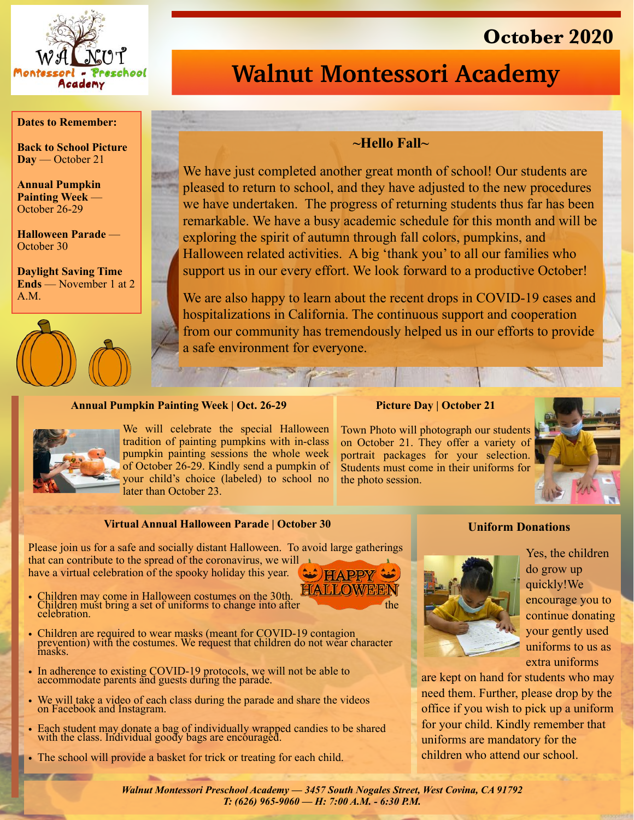

# **October 2020**

# **Walnut Montessori Academy**

### **Dates to Remember:**

**Back to School Picture Day** — October 21

**Annual Pumpkin Painting Week** — October 26-29

**Halloween Parade** — October 30

**Daylight Saving Time Ends** — November 1 at 2 A.M.



### **~Hello Fall~**

We have just completed another great month of school! Our students are pleased to return to school, and they have adjusted to the new procedures we have undertaken. The progress of returning students thus far has been remarkable. We have a busy academic schedule for this month and will be exploring the spirit of autumn through fall colors, pumpkins, and Halloween related activities. A big 'thank you' to all our families who support us in our every effort. We look forward to a productive October!

We are also happy to learn about the recent drops in COVID-19 cases and hospitalizations in California. The continuous support and cooperation from our community has tremendously helped us in our efforts to provide a safe environment for everyone.

#### **Annual Pumpkin Painting Week | Oct. 26-29**



We will celebrate the special Halloween tradition of painting pumpkins with in-class pumpkin painting sessions the whole week of October 26-29. Kindly send a pumpkin of your child's choice (labeled) to school no later than October 23.

#### **Picture Day | October 21**

Town Photo will photograph our students on October 21. They offer a variety of portrait packages for your selection. Students must come in their uniforms for the photo session.



### **Virtual Annual Halloween Parade | October 30**

Please join us for a safe and socially distant Halloween. To avoid large gatherings that can contribute to the spread of the coronavirus, we will have a virtual celebration of the spooky holiday this year.  $\omega$  HAPPY

- **HALLOWEE** • Children may come in Halloween costumes on the 30th. **The Children must bring a set of uniforms to change into after** the celebration.
- Children are required to wear masks (meant for COVID-19 contagion prevention) with the costumes. We request that children do not wear character masks.
- In adherence to existing COVID-19 protocols, we will not be able to accommodate parents and guests during the parade.
- We will take a video of each class during the parade and share the videos on Facebook and Instagram.
- Each student may donate a bag of individually wrapped candies to be shared with the class. Individual goody bags are encouraged.
- The school will provide a basket for trick or treating for each child.

## **Uniform Donations**



Yes, the children do grow up quickly!We encourage you to continue donating your gently used uniforms to us as extra uniforms

are kept on hand for students who may need them. Further, please drop by the office if you wish to pick up a uniform for your child. Kindly remember that uniforms are mandatory for the children who attend our school.

*Walnut Montessori Preschool Academy — 3457 South Nogales Street, West Covina, CA 91792 T: (626) 965-9060 — H: 7:00 A.M. - 6:30 P.M.*